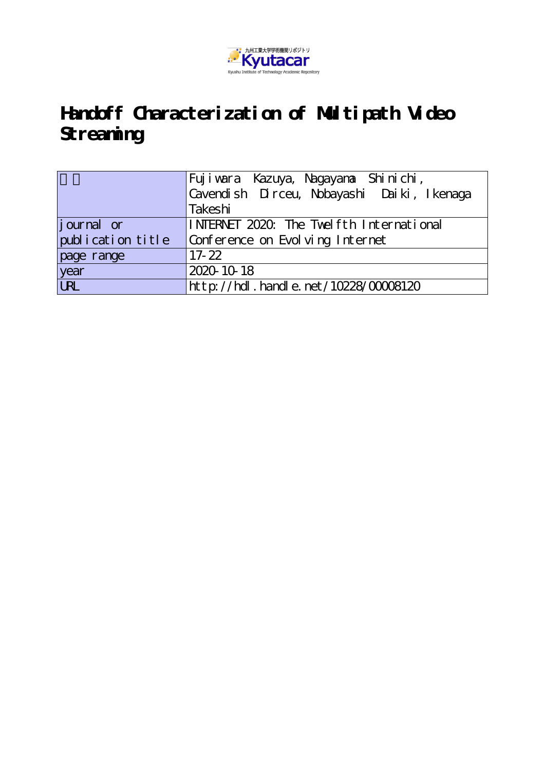

# **Handoff Characterization of Multipath Video Streaming**

|                   | Fuji vara Kazuya, Nagayana Shinichi,       |  |  |
|-------------------|--------------------------------------------|--|--|
|                   | Cavendish Dirceu, Nobayashi Daiki, Ikenaga |  |  |
|                   | Takeshi                                    |  |  |
| journal or        | INERNET 2020. The Twelfth International    |  |  |
| publication title | Conference on Evolving Internet            |  |  |
| page range        | $17 - 22$                                  |  |  |
| year              | 2020-10-18                                 |  |  |
| URL               | $http://hdl. handle. net/10228/00008120$   |  |  |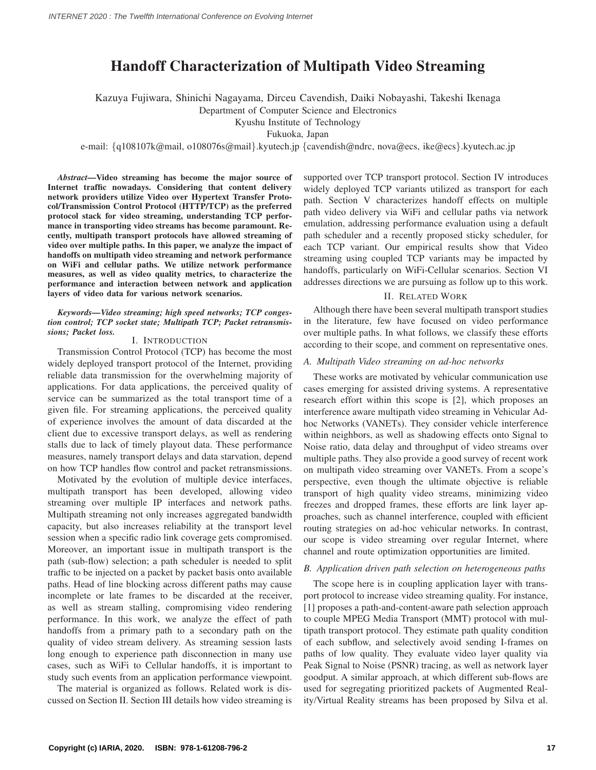## **Handoff Characterization of Multipath Video Streaming**

Kazuya Fujiwara, Shinichi Nagayama, Dirceu Cavendish, Daiki Nobayashi, Takeshi Ikenaga

Department of Computer Science and Electronics

Kyushu Institute of Technology

Fukuoka, Japan

e-mail: {q108107k@mail, o108076s@mail}.kyutech.jp {cavendish@ndrc, nova@ecs, ike@ecs}.kyutech.ac.jp

*Abstract***—Video streaming has become the major source of Internet traffic nowadays. Considering that content delivery network providers utilize Video over Hypertext Transfer Protocol/Transmission Control Protocol (HTTP/TCP) as the preferred protocol stack for video streaming, understanding TCP performance in transporting video streams has become paramount. Recently, multipath transport protocols have allowed streaming of video over multiple paths. In this paper, we analyze the impact of handoffs on multipath video streaming and network performance on WiFi and cellular paths. We utilize network performance measures, as well as video quality metrics, to characterize the performance and interaction between network and application layers of video data for various network scenarios.**

### *Keywords***—***Video streaming; high speed networks; TCP congestion control; TCP socket state; Multipath TCP; Packet retransmissions; Packet loss.*

### I. INTRODUCTION

Transmission Control Protocol (TCP) has become the most widely deployed transport protocol of the Internet, providing reliable data transmission for the overwhelming majority of applications. For data applications, the perceived quality of service can be summarized as the total transport time of a given file. For streaming applications, the perceived quality of experience involves the amount of data discarded at the client due to excessive transport delays, as well as rendering stalls due to lack of timely playout data. These performance measures, namely transport delays and data starvation, depend on how TCP handles flow control and packet retransmissions.

Motivated by the evolution of multiple device interfaces, multipath transport has been developed, allowing video streaming over multiple IP interfaces and network paths. Multipath streaming not only increases aggregated bandwidth capacity, but also increases reliability at the transport level session when a specific radio link coverage gets compromised. Moreover, an important issue in multipath transport is the path (sub-flow) selection; a path scheduler is needed to split traffic to be injected on a packet by packet basis onto available paths. Head of line blocking across different paths may cause incomplete or late frames to be discarded at the receiver, as well as stream stalling, compromising video rendering performance. In this work, we analyze the effect of path handoffs from a primary path to a secondary path on the quality of video stream delivery. As streaming session lasts long enough to experience path disconnection in many use cases, such as WiFi to Cellular handoffs, it is important to study such events from an application performance viewpoint.

The material is organized as follows. Related work is discussed on Section II. Section III details how video streaming is supported over TCP transport protocol. Section IV introduces widely deployed TCP variants utilized as transport for each path. Section V characterizes handoff effects on multiple path video delivery via WiFi and cellular paths via network emulation, addressing performance evaluation using a default path scheduler and a recently proposed sticky scheduler, for each TCP variant. Our empirical results show that Video streaming using coupled TCP variants may be impacted by handoffs, particularly on WiFi-Cellular scenarios. Section VI addresses directions we are pursuing as follow up to this work.

### II. RELATED WORK

Although there have been several multipath transport studies in the literature, few have focused on video performance over multiple paths. In what follows, we classify these efforts according to their scope, and comment on representative ones.

### *A. Multipath Video streaming on ad-hoc networks*

These works are motivated by vehicular communication use cases emerging for assisted driving systems. A representative research effort within this scope is [2], which proposes an interference aware multipath video streaming in Vehicular Adhoc Networks (VANETs). They consider vehicle interference within neighbors, as well as shadowing effects onto Signal to Noise ratio, data delay and throughput of video streams over multiple paths. They also provide a good survey of recent work on multipath video streaming over VANETs. From a scope's perspective, even though the ultimate objective is reliable transport of high quality video streams, minimizing video freezes and dropped frames, these efforts are link layer approaches, such as channel interference, coupled with efficient routing strategies on ad-hoc vehicular networks. In contrast, our scope is video streaming over regular Internet, where channel and route optimization opportunities are limited.

### *B. Application driven path selection on heterogeneous paths*

The scope here is in coupling application layer with transport protocol to increase video streaming quality. For instance, [1] proposes a path-and-content-aware path selection approach to couple MPEG Media Transport (MMT) protocol with multipath transport protocol. They estimate path quality condition of each subflow, and selectively avoid sending I-frames on paths of low quality. They evaluate video layer quality via Peak Signal to Noise (PSNR) tracing, as well as network layer goodput. A similar approach, at which different sub-flows are used for segregating prioritized packets of Augmented Reality/Virtual Reality streams has been proposed by Silva et al.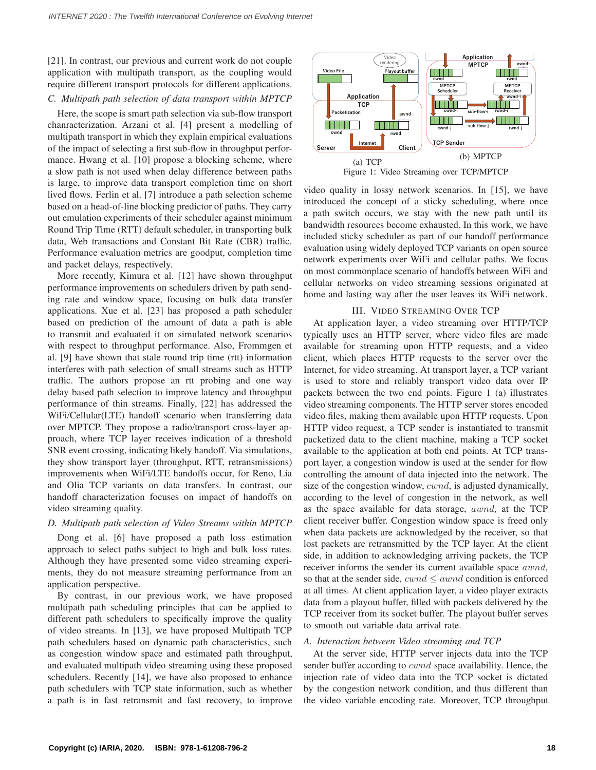[21]. In contrast, our previous and current work do not couple application with multipath transport, as the coupling would require different transport protocols for different applications.

### *C. Multipath path selection of data transport within MPTCP*

Here, the scope is smart path selection via sub-flow transport chanracterization. Arzani et al. [4] present a modelling of multipath transport in which they explain empirical evaluations of the impact of selecting a first sub-flow in throughput performance. Hwang et al. [10] propose a blocking scheme, where a slow path is not used when delay difference between paths is large, to improve data transport completion time on short lived flows. Ferlin et al. [7] introduce a path selection scheme based on a head-of-line blocking predictor of paths. They carry out emulation experiments of their scheduler against minimum Round Trip Time (RTT) default scheduler, in transporting bulk data, Web transactions and Constant Bit Rate (CBR) traffic. Performance evaluation metrics are goodput, completion time and packet delays, respectively.

More recently, Kimura et al. [12] have shown throughput performance improvements on schedulers driven by path sending rate and window space, focusing on bulk data transfer applications. Xue et al. [23] has proposed a path scheduler based on prediction of the amount of data a path is able to transmit and evaluated it on simulated network scenarios with respect to throughput performance. Also, Frommgen et al. [9] have shown that stale round trip time (rtt) information interferes with path selection of small streams such as HTTP traffic. The authors propose an rtt probing and one way delay based path selection to improve latency and throughput performance of thin streams. Finally, [22] has addressed the WiFi/Cellular(LTE) handoff scenario when transferring data over MPTCP. They propose a radio/transport cross-layer approach, where TCP layer receives indication of a threshold SNR event crossing, indicating likely handoff. Via simulations, they show transport layer (throughput, RTT, retransmissions) improvements when WiFi/LTE handoffs occur, for Reno, Lia and Olia TCP variants on data transfers. In contrast, our handoff characterization focuses on impact of handoffs on video streaming quality.

### *D. Multipath path selection of Video Streams within MPTCP*

Dong et al. [6] have proposed a path loss estimation approach to select paths subject to high and bulk loss rates. Although they have presented some video streaming experiments, they do not measure streaming performance from an application perspective.

By contrast, in our previous work, we have proposed multipath path scheduling principles that can be applied to different path schedulers to specifically improve the quality of video streams. In [13], we have proposed Multipath TCP path schedulers based on dynamic path characteristics, such as congestion window space and estimated path throughput, and evaluated multipath video streaming using these proposed schedulers. Recently [14], we have also proposed to enhance path schedulers with TCP state information, such as whether a path is in fast retransmit and fast recovery, to improve



Figure 1: Video Streaming over TCP/MPTCP

video quality in lossy network scenarios. In [15], we have introduced the concept of a sticky scheduling, where once a path switch occurs, we stay with the new path until its bandwidth resources become exhausted. In this work, we have included sticky scheduler as part of our handoff performance evaluation using widely deployed TCP variants on open source network experiments over WiFi and cellular paths. We focus on most commonplace scenario of handoffs between WiFi and cellular networks on video streaming sessions originated at home and lasting way after the user leaves its WiFi network.

### III. VIDEO STREAMING OVER TCP

At application layer, a video streaming over HTTP/TCP typically uses an HTTP server, where video files are made available for streaming upon HTTP requests, and a video client, which places HTTP requests to the server over the Internet, for video streaming. At transport layer, a TCP variant is used to store and reliably transport video data over IP packets between the two end points. Figure 1 (a) illustrates video streaming components. The HTTP server stores encoded video files, making them available upon HTTP requests. Upon HTTP video request, a TCP sender is instantiated to transmit packetized data to the client machine, making a TCP socket available to the application at both end points. At TCP transport layer, a congestion window is used at the sender for flow controlling the amount of data injected into the network. The size of the congestion window, cwnd, is adjusted dynamically, according to the level of congestion in the network, as well as the space available for data storage, awnd, at the TCP client receiver buffer. Congestion window space is freed only when data packets are acknowledged by the receiver, so that lost packets are retransmitted by the TCP layer. At the client side, in addition to acknowledging arriving packets, the TCP receiver informs the sender its current available space awnd, so that at the sender side,  $cwnd \leq awnd$  condition is enforced at all times. At client application layer, a video player extracts data from a playout buffer, filled with packets delivered by the TCP receiver from its socket buffer. The playout buffer serves to smooth out variable data arrival rate.

### *A. Interaction between Video streaming and TCP*

At the server side, HTTP server injects data into the TCP sender buffer according to *cwnd* space availability. Hence, the injection rate of video data into the TCP socket is dictated by the congestion network condition, and thus different than the video variable encoding rate. Moreover, TCP throughput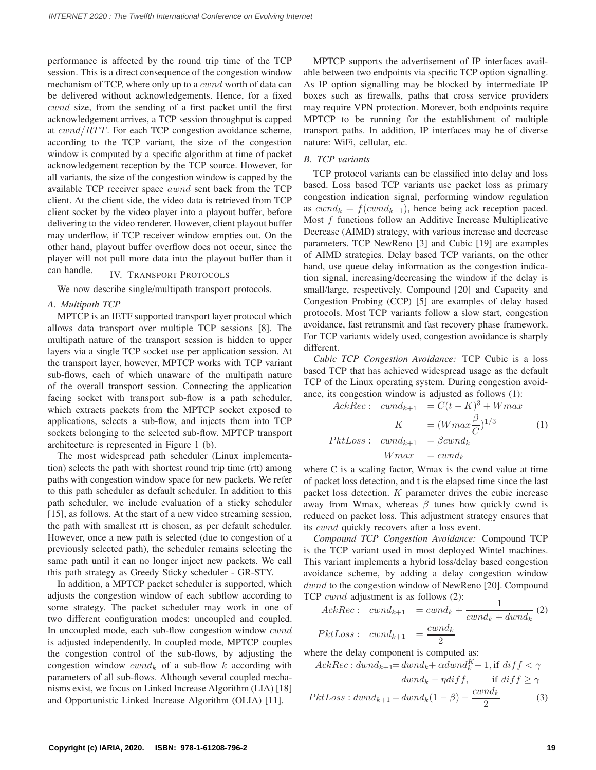performance is affected by the round trip time of the TCP session. This is a direct consequence of the congestion window mechanism of TCP, where only up to a *cwnd* worth of data can be delivered without acknowledgements. Hence, for a fixed cwnd size, from the sending of a first packet until the first acknowledgement arrives, a TCP session throughput is capped at  $cwnd/RTT$ . For each TCP congestion avoidance scheme, according to the TCP variant, the size of the congestion window is computed by a specific algorithm at time of packet acknowledgement reception by the TCP source. However, for all variants, the size of the congestion window is capped by the available TCP receiver space awnd sent back from the TCP client. At the client side, the video data is retrieved from TCP client socket by the video player into a playout buffer, before delivering to the video renderer. However, client playout buffer may underflow, if TCP receiver window empties out. On the other hand, playout buffer overflow does not occur, since the player will not pull more data into the playout buffer than it can handle. IV. TRANSPORT <sup>P</sup>ROTOCOLS

We now describe single/multipath transport protocols.

### *A. Multipath TCP*

MPTCP is an IETF supported transport layer protocol which allows data transport over multiple TCP sessions [8]. The multipath nature of the transport session is hidden to upper layers via a single TCP socket use per application session. At the transport layer, however, MPTCP works with TCP variant sub-flows, each of which unaware of the multipath nature of the overall transport session. Connecting the application facing socket with transport sub-flow is a path scheduler, which extracts packets from the MPTCP socket exposed to applications, selects a sub-flow, and injects them into TCP sockets belonging to the selected sub-flow. MPTCP transport architecture is represented in Figure 1 (b).

The most widespread path scheduler (Linux implementation) selects the path with shortest round trip time (rtt) among paths with congestion window space for new packets. We refer to this path scheduler as default scheduler. In addition to this path scheduler, we include evaluation of a sticky scheduler [15], as follows. At the start of a new video streaming session, the path with smallest rtt is chosen, as per default scheduler. However, once a new path is selected (due to congestion of a previously selected path), the scheduler remains selecting the same path until it can no longer inject new packets. We call this path strategy as Greedy Sticky scheduler - GR-STY.

In addition, a MPTCP packet scheduler is supported, which adjusts the congestion window of each subflow according to some strategy. The packet scheduler may work in one of two different configuration modes: uncoupled and coupled. In uncoupled mode, each sub-flow congestion window cwnd is adjusted independently. In coupled mode, MPTCP couples the congestion control of the sub-flows, by adjusting the congestion window  $cwnd_k$  of a sub-flow k according with parameters of all sub-flows. Although several coupled mechanisms exist, we focus on Linked Increase Algorithm (LIA) [18] and Opportunistic Linked Increase Algorithm (OLIA) [11].

MPTCP supports the advertisement of IP interfaces available between two endpoints via specific TCP option signalling. As IP option signalling may be blocked by intermediate IP boxes such as firewalls, paths that cross service providers may require VPN protection. Morever, both endpoints require MPTCP to be running for the establishment of multiple transport paths. In addition, IP interfaces may be of diverse nature: WiFi, cellular, etc.

### *B. TCP variants*

TCP protocol variants can be classified into delay and loss based. Loss based TCP variants use packet loss as primary congestion indication signal, performing window regulation as  $cwnd_k = f(cwnd_{k-1})$ , hence being ack reception paced. Most f functions follow an Additive Increase Multiplicative Decrease (AIMD) strategy, with various increase and decrease parameters. TCP NewReno [3] and Cubic [19] are examples of AIMD strategies. Delay based TCP variants, on the other hand, use queue delay information as the congestion indication signal, increasing/decreasing the window if the delay is small/large, respectively. Compound [20] and Capacity and Congestion Probing (CCP) [5] are examples of delay based protocols. Most TCP variants follow a slow start, congestion avoidance, fast retransmit and fast recovery phase framework. For TCP variants widely used, congestion avoidance is sharply different.

*Cubic TCP Congestion Avoidance:* TCP Cubic is a loss based TCP that has achieved widespread usage as the default TCP of the Linux operating system. During congestion avoidance, its congestion window is adjusted as follows (1):

 $AckRec: \quad cwnd_{k+1} = C(t-K)^3 + Wmax$ K  $= (Wmax \frac{\beta}{C})^{1/3}$ (1)  $PktLoss: \quad cwnd_{k+1} = \beta cwnd_k$  $Wmax = cwnd_k$ 

where C is a scaling factor, Wmax is the cwnd value at time of packet loss detection, and t is the elapsed time since the last packet loss detection. K parameter drives the cubic increase away from Wmax, whereas  $\beta$  tunes how quickly cwnd is reduced on packet loss. This adjustment strategy ensures that its cwnd quickly recovers after a loss event.

*Compound TCP Congestion Avoidance:* Compound TCP is the TCP variant used in most deployed Wintel machines. This variant implements a hybrid loss/delay based congestion avoidance scheme, by adding a delay congestion window dwnd to the congestion window of NewReno [20]. Compound TCP cwnd adjustment is as follows (2):

$$
Acknowledences (2)
$$
  
\n
$$
Acknowledences (2)
$$
  
\n
$$
PktLoss: \quad cwnd_{k+1} = \frac{cwnd_k}{2}
$$
  
\n
$$
PktLoss: \quad cwnd_{k+1} = \frac{cwnd_k}{2}
$$

where the delay component is computed as:

$$
AcknowledkRec: dwnd_{k+1} = dwnd_k + \alpha dwnd_k^K - 1, \text{if } diff < \gamma
$$
\n
$$
dwnd_k - \eta diff, \qquad \text{if } diff \ge \gamma
$$
\n
$$
PktLoss: dwnd_{k+1} = dwnd_k(1 - \beta) - \frac{cwnd_k}{2} \tag{3}
$$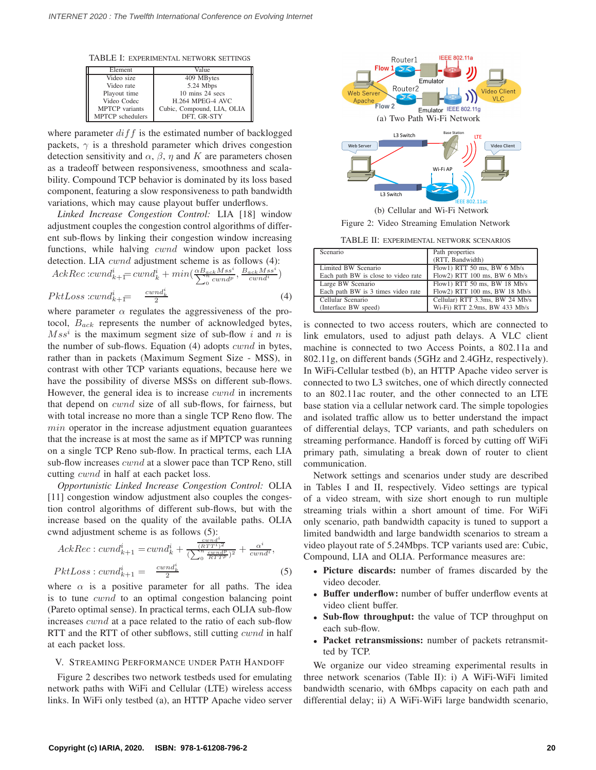TABLE I: EXPERIMENTAL NETWORK SETTINGS

| Element               | Value                      |
|-----------------------|----------------------------|
| Video size            | 409 MBytes                 |
| Video rate            | 5.24 Mbps                  |
| Playout time          | 10 mins 24 secs            |
| Video Codec           | H.264 MPEG-4 AVC           |
| <b>MPTCP</b> variants | Cubic, Compound, LIA, OLIA |
| MPTCP schedulers      | DFT. GR-STY                |

where parameter  $diff$  is the estimated number of backlogged packets,  $\gamma$  is a threshold parameter which drives congestion detection sensitivity and  $\alpha$ ,  $\beta$ ,  $\eta$  and K are parameters chosen as a tradeoff between responsiveness, smoothness and scalability. Compound TCP behavior is dominated by its loss based component, featuring a slow responsiveness to path bandwidth variations, which may cause playout buffer underflows.

*Linked Increase Congestion Control:* LIA [18] window adjustment couples the congestion control algorithms of different sub-flows by linking their congestion window increasing functions, while halving *cwnd* window upon packet loss detection. LIA *cwnd* adjustment scheme is as follows (4):

$$
Acknowled{ake:cwnd_{k+1}^i = cwnd_k^i + min(\frac{\alpha B_{ack}Mss^i}{\sum_{0}^{n}cwnd_p^i}, \frac{B_{ack}Mss^i}{cwnd_i})}{\sum_{0}^{n}cwnd_p^i}
$$
\n
$$
PktLoss: cwnd_{k+1}^i = \frac{cwnd_k^i}{2}
$$
\n
$$
(4)
$$

where parameter  $\alpha$  regulates the aggressiveness of the protocol,  $B_{ack}$  represents the number of acknowledged bytes,  $Ms<sup>i</sup>$  is the maximum segment size of sub-flow i and n is the number of sub-flows. Equation (4) adopts cwnd in bytes, rather than in packets (Maximum Segment Size - MSS), in contrast with other TCP variants equations, because here we have the possibility of diverse MSSs on different sub-flows. However, the general idea is to increase *cwnd* in increments that depend on cwnd size of all sub-flows, for fairness, but with total increase no more than a single TCP Reno flow. The  $min$  operator in the increase adjustment equation guarantees that the increase is at most the same as if MPTCP was running on a single TCP Reno sub-flow. In practical terms, each LIA sub-flow increases *cwnd* at a slower pace than TCP Reno, still cutting *cwnd* in half at each packet loss.

*Opportunistic Linked Increase Congestion Control:* OLIA [11] congestion window adjustment also couples the congestion control algorithms of different sub-flows, but with the increase based on the quality of the available paths. OLIA cwnd adjustment scheme is as follows (5):

$$
Acknowled_{k+1}^{i} = cwnd_{k}^{i} + \frac{\frac{cwnd_{k}^{i}}{(RTT^{i})^{2}}}{(\sum_{0}^{n} \frac{cwnd_{k}^{i}}{RTT^{p}})^{2}} + \frac{\alpha^{i}}{cwnd^{i}},
$$
  

$$
PktLoss : cwnd_{k+1}^{i} = \frac{cwnd_{k}^{i}}{2}
$$
 (5)

where  $\alpha$  is a positive parameter for all paths. The idea is to tune cwnd to an optimal congestion balancing point (Pareto optimal sense). In practical terms, each OLIA sub-flow increases cwnd at a pace related to the ratio of each sub-flow RTT and the RTT of other subflows, still cutting  $\boldsymbol{c} \boldsymbol{w} \boldsymbol{n}$  in half at each packet loss.

### V. STREAMING PERFORMANCE UNDER PATH HANDOFF

Figure 2 describes two network testbeds used for emulating network paths with WiFi and Cellular (LTE) wireless access links. In WiFi only testbed (a), an HTTP Apache video server



Figure 2: Video Streaming Emulation Network

TABLE II: EXPERIMENTAL NETWORK SCENARIOS

| Scenario                            | Path properties                 |
|-------------------------------------|---------------------------------|
|                                     | (RTT, Bandwidth)                |
| Limited BW Scenario                 | Flow1) RTT 50 ms, BW $6$ Mb/s   |
| Each path BW is close to video rate | Flow2) RTT 100 ms, BW 6 Mb/s    |
| Large BW Scenario                   | Flow1) RTT 50 ms, BW 18 Mb/s    |
| Each path BW is 3 times video rate  | Flow2) RTT 100 ms, BW 18 Mb/s   |
| Cellular Scenario                   | Cellular) RTT 3.3ms, BW 24 Mb/s |
| (Interface BW speed)                | Wi-Fi) RTT 2.9ms, BW 433 Mb/s   |

is connected to two access routers, which are connected to link emulators, used to adjust path delays. A VLC client machine is connected to two Access Points, a 802.11a and 802.11g, on different bands (5GHz and 2.4GHz, respectively). In WiFi-Cellular testbed (b), an HTTP Apache video server is connected to two L3 switches, one of which directly connected to an 802.11ac router, and the other connected to an LTE base station via a cellular network card. The simple topologies and isolated traffic allow us to better understand the impact of differential delays, TCP variants, and path schedulers on streaming performance. Handoff is forced by cutting off WiFi primary path, simulating a break down of router to client communication.

Network settings and scenarios under study are described in Tables I and II, respectively. Video settings are typical of a video stream, with size short enough to run multiple streaming trials within a short amount of time. For WiFi only scenario, path bandwidth capacity is tuned to support a limited bandwidth and large bandwidth scenarios to stream a video playout rate of 5.24Mbps. TCP variants used are: Cubic, Compound, LIA and OLIA. Performance measures are:

- **Picture discards:** number of frames discarded by the video decoder.
- **Buffer underflow:** number of buffer underflow events at video client buffer.
- **Sub-flow throughput:** the value of TCP throughput on each sub-flow.
- **Packet retransmissions:** number of packets retransmitted by TCP.

We organize our video streaming experimental results in three network scenarios (Table II): i) A WiFi-WiFi limited bandwidth scenario, with 6Mbps capacity on each path and differential delay; ii) A WiFi-WiFi large bandwidth scenario,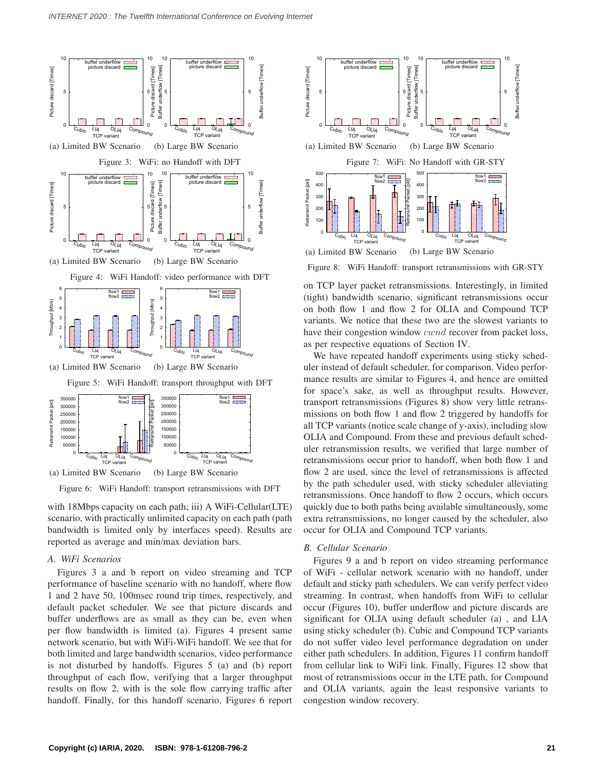

Figure 6: WiFi Handoff: transport retransmissions with DFT

with 18Mbps capacity on each path; iii) A WiFi-Cellular(LTE) scenario, with practically unlimited capacity on each path (path bandwidth is limited only by interfaces speed). Results are reported as average and min/max deviation bars.

### *A. WiFi Scenarios*

Figures 3 a and b report on video streaming and TCP performance of baseline scenario with no handoff, where flow 1 and 2 have 50, 100msec round trip times, respectively, and default packet scheduler. We see that picture discards and buffer underflows are as small as they can be, even when per flow bandwidth is limited (a). Figures 4 present same network scenario, but with WiFi-WiFi handoff. We see that for both limited and large bandwidth scenarios, video performance is not disturbed by handoffs. Figures 5 (a) and (b) report throughput of each flow, verifying that a larger throughput results on flow 2, with is the sole flow carrying traffic after handoff. Finally, for this handoff scenario, Figures 6 report



Figure 8: WiFi Handoff: transport retransmissions with GR-STY

on TCP layer packet retransmissions. Interestingly, in limited (tight) bandwidth scenario, significant retransmissions occur on both flow 1 and flow 2 for OLIA and Compound TCP variants. We notice that these two are the slowest variants to have their congestion window *cwnd* recover from packet loss, as per respective equations of Section IV.

We have repeated handoff experiments using sticky scheduler instead of default scheduler, for comparison. Video performance results are similar to Figures 4, and hence are omitted for space's sake, as well as throughput results. However, transport retransmissions (Figures 8) show very little retransmissions on both flow 1 and flow 2 triggered by handoffs for all TCP variants (notice scale change of y-axis), including slow OLIA and Compound. From these and previous default scheduler retransmission results, we verified that large number of retransmissions occur prior to handoff, when both flow 1 and flow 2 are used, since the level of retransmissions is affected by the path scheduler used, with sticky scheduler alleviating retransmissions. Once handoff to flow 2 occurs, which occurs quickly due to both paths being available simultaneously, some extra retransmissions, no longer caused by the scheduler, also occur for OLIA and Compound TCP variants.

### *B. Cellular Scenario*

Figures 9 a and b report on video streaming performance of WiFi - cellular network scenario with no handoff, under default and sticky path schedulers. We can verify perfect video streaming. In contrast, when handoffs from WiFi to cellular occur (Figures 10), buffer underflow and picture discards are significant for OLIA using default scheduler (a) , and LIA using sticky scheduler (b). Cubic and Compound TCP variants do not suffer video level performance degradation on under either path schedulers. In addition, Figures 11 confirm handoff from cellular link to WiFi link. Finally, Figures 12 show that most of retransmissions occur in the LTE path, for Compound and OLIA variants, again the least responsive variants to congestion window recovery.